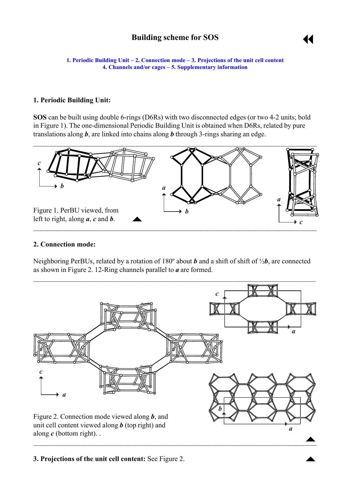# **Building scheme for SOS**



<span id="page-0-0"></span>**1. Periodic Building Unit – 2. Connection mode – 3. Projections of the unit cell content [4. Channels and/or cages](#page-1-0) – [5. Supplementary information](#page-2-0)** 

## **1. Periodic Building Unit:**

**SOS** can be built using double 6-rings (D6Rs) with two disconnected edges (or two 4-2 units; bold in Figure 1). The one-dimensional Periodic Building Unit is obtained when D6Rs, related by pure translations along *b*, are linked into chains along *b* through 3-rings sharing an edge.



#### **2. Connection mode:**

Neighboring PerBUs, related by a rotation of 180º about *b* and a shift of shift of ½*b*, are connected as shown in Figure 2. 12-Ring channels parallel to *a* are formed.



#### **3. Projections of the unit cell content:** See Figure 2.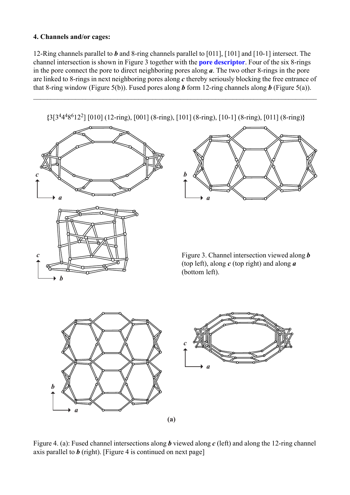## <span id="page-1-0"></span>**4. Channels and/or cages:**

12-Ring channels parallel to *b* and 8-ring channels parallel to [011], [101] and [10-1] intersect. The channel intersection is shown in Figure 3 together with the **[pore descriptor](http://www.iza-structure.org/databases/ModelBuilding/Introduction.pdf)**. Four of the six 8-rings in the pore connect the pore to direct neighboring pores along *a*. The two other 8-rings in the pore are linked to 8-rings in next neighboring pores along *c* thereby seriously blocking the free entrance of that 8-ring window (Figure 5(b)). Fused pores along *b* form 12-ring channels along *b* (Figure 5(a)).

**{**3[344486122] [010] (12-ring), [001] (8-ring), [101] (8-ring), [10-1] (8-ring), [011] (8-ring)**}**

 $\mathcal{L}_\mathcal{L} = \{ \mathcal{L}_\mathcal{L} = \{ \mathcal{L}_\mathcal{L} = \{ \mathcal{L}_\mathcal{L} = \{ \mathcal{L}_\mathcal{L} = \{ \mathcal{L}_\mathcal{L} = \{ \mathcal{L}_\mathcal{L} = \{ \mathcal{L}_\mathcal{L} = \{ \mathcal{L}_\mathcal{L} = \{ \mathcal{L}_\mathcal{L} = \{ \mathcal{L}_\mathcal{L} = \{ \mathcal{L}_\mathcal{L} = \{ \mathcal{L}_\mathcal{L} = \{ \mathcal{L}_\mathcal{L} = \{ \mathcal{L}_\mathcal{$ 





Figure 3. Channel intersection viewed along *b* (top left), along *c* (top right) and along *a* (bottom left).



Figure 4. (a): Fused channel intersections along *b* viewed along *c* (left) and along the 12-ring channel axis parallel to *b* (right). [Figure 4 is continued on next page]